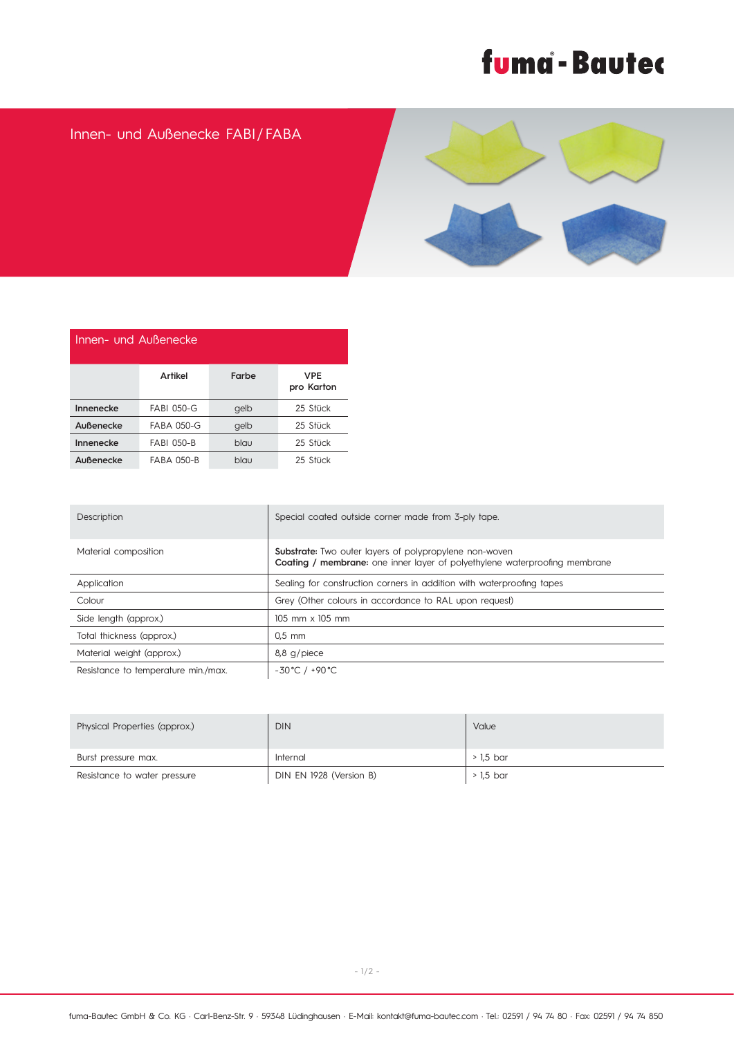## fuma - Bautec

## Innen- und Außenecke FABI / FABA



| Innen- und Außenecke |                   |       |                   |  |  |
|----------------------|-------------------|-------|-------------------|--|--|
|                      | Artikel           | Farbe | VPE<br>pro Karton |  |  |
| Innenecke            | <b>FABI 050-G</b> | gelb  | 25 Stück          |  |  |
| Außenecke            | <b>FABA 050-G</b> | gelb  | 25 Stück          |  |  |
| Innenecke            | <b>FABI 050-B</b> | blau  | 25 Stück          |  |  |
| Außenecke            | <b>FABA 050-B</b> | blau  | 25 Stück          |  |  |

| Description                         | Special coated outside corner made from 3-ply tape.                                                                                                |
|-------------------------------------|----------------------------------------------------------------------------------------------------------------------------------------------------|
| Material composition                | <b>Substrate:</b> Two outer layers of polypropylene non-woven<br><b>Coating / membrane:</b> one inner layer of polyethylene waterproofing membrane |
| Application                         | Sealing for construction corners in addition with waterproofing tapes                                                                              |
| Colour                              | Grey (Other colours in accordance to RAL upon request)                                                                                             |
| Side length (approx.)               | 105 mm x 105 mm                                                                                                                                    |
| Total thickness (approx.)           | $0.5$ mm                                                                                                                                           |
| Material weight (approx.)           | $8,8$ g/piece                                                                                                                                      |
| Resistance to temperature min./max. | $-30^{\circ}$ C / $+90^{\circ}$ C                                                                                                                  |

| Physical Properties (approx.) | <b>DIN</b>              | Value     |
|-------------------------------|-------------------------|-----------|
| Burst pressure max.           | Internal                | > 1.5 bar |
| Resistance to water pressure  | DIN EN 1928 (Version B) | > 1,5 bar |